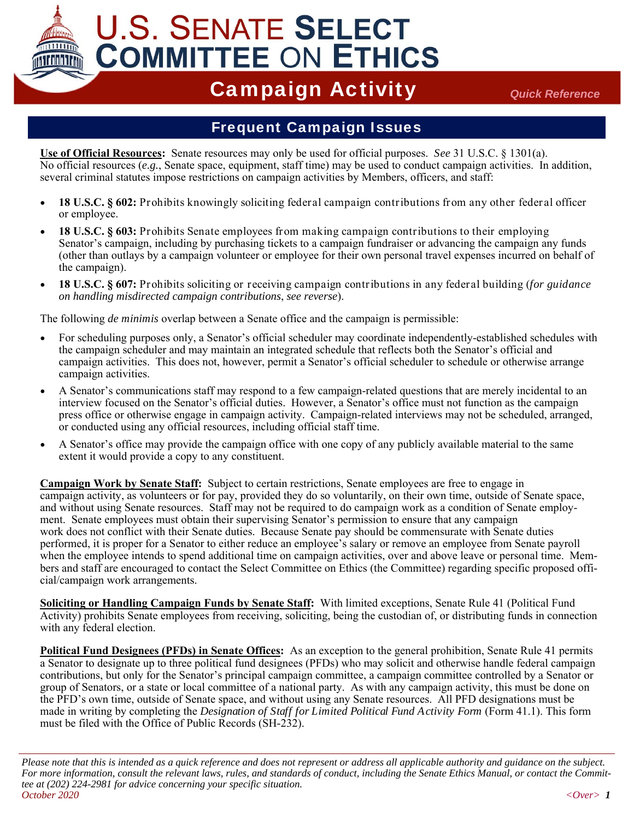# **U.S. SENATE SELECT COMMITTEE ON ETHICS**

## Campaign Activity *Quick Reference*

#### Frequent Campaign Issues

**Use of Official Resources:** Senate resources may only be used for official purposes. *See* 31 U.S.C. § 1301(a). No official resources (*e.g.*, Senate space, equipment, staff time) may be used to conduct campaign activities. In addition, several criminal statutes impose restrictions on campaign activities by Members, officers, and staff:

- **18 U.S.C. § 602:** Prohibits knowingly soliciting federal campaign contributions from any other federal officer or employee.
- **18 U.S.C. § 603:** Prohibits Senate employees from making campaign contributions to their employing Senator's campaign, including by purchasing tickets to a campaign fundraiser or advancing the campaign any funds (other than outlays by a campaign volunteer or employee for their own personal travel expenses incurred on behalf of the campaign).
- **18 U.S.C. § 607:** Prohibits soliciting or receiving campaign contributions in any federal building (*for guidance on handling misdirected campaign contributions*, *see reverse*).

The following *de minimis* overlap between a Senate office and the campaign is permissible:

- For scheduling purposes only, a Senator's official scheduler may coordinate independently-established schedules with the campaign scheduler and may maintain an integrated schedule that reflects both the Senator's official and campaign activities. This does not, however, permit a Senator's official scheduler to schedule or otherwise arrange campaign activities.
- A Senator's communications staff may respond to a few campaign-related questions that are merely incidental to an interview focused on the Senator's official duties. However, a Senator's office must not function as the campaign press office or otherwise engage in campaign activity. Campaign-related interviews may not be scheduled, arranged, or conducted using any official resources, including official staff time.
- A Senator's office may provide the campaign office with one copy of any publicly available material to the same extent it would provide a copy to any constituent.

**Campaign Work by Senate Staff:** Subject to certain restrictions, Senate employees are free to engage in campaign activity, as volunteers or for pay, provided they do so voluntarily, on their own time, outside of Senate space, and without using Senate resources. Staff may not be required to do campaign work as a condition of Senate employment. Senate employees must obtain their supervising Senator's permission to ensure that any campaign work does not conflict with their Senate duties. Because Senate pay should be commensurate with Senate duties performed, it is proper for a Senator to either reduce an employee's salary or remove an employee from Senate payroll when the employee intends to spend additional time on campaign activities, over and above leave or personal time. Members and staff are encouraged to contact the Select Committee on Ethics (the Committee) regarding specific proposed official/campaign work arrangements.

**Soliciting or Handling Campaign Funds by Senate Staff:** With limited exceptions, Senate Rule 41 (Political Fund Activity) prohibits Senate employees from receiving, soliciting, being the custodian of, or distributing funds in connection with any federal election.

**Political Fund Designees (PFDs) in Senate Offices:** As an exception to the general prohibition, Senate Rule 41 permits a Senator to designate up to three political fund designees (PFDs) who may solicit and otherwise handle federal campaign contributions, but only for the Senator's principal campaign committee, a campaign committee controlled by a Senator or group of Senators, or a state or local committee of a national party. As with any campaign activity, this must be done on the PFD's own time, outside of Senate space, and without using any Senate resources. All PFD designations must be made in writing by completing the *Designation of Staff for Limited Political Fund Activity Form* (Form 41.1). This form must be filed with the Office of Public Records (SH-232).

*Please note that this is intended as a quick reference and does not represent or address all applicable authority and guidance on the subject. For more information, consult the relevant laws, rules, and standards of conduct, including the Senate Ethics Manual, or contact the Committee at (202) 224-2981 for advice concerning your specific situation. October 2020 <Over> 1*